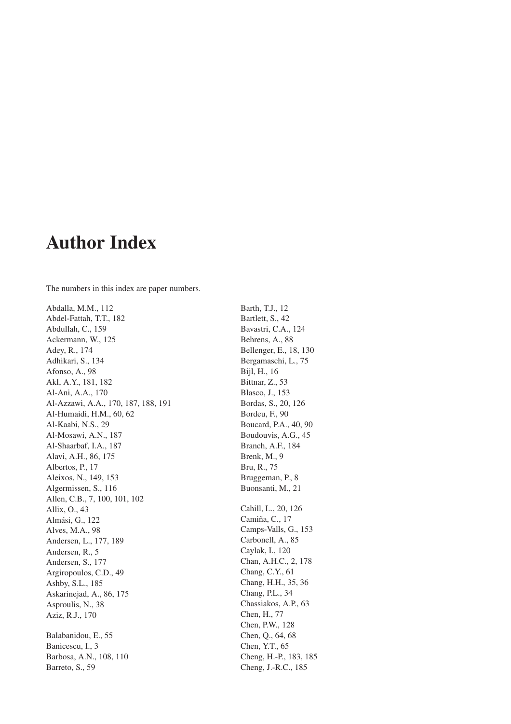## **Author Index**

The numbers in this index are paper numbers.

Abdalla, M.M., 112 Abdel-Fattah, T.T., 182 Abdullah, C., 159 Ackermann, W., 125 Adey, R., 174 Adhikari, S., 134 Afonso, A., 98 Akl, A.Y., 181, 182 Al-Ani, A.A., 170 Al-Azzawi, A.A., 170, 187, 188, 191 Al-Humaidi, H.M., 60, 62 Al-Kaabi, N.S., 29 Al-Mosawi, A.N., 187 Al-Shaarbaf, I.A., 187 Alavi, A.H., 86, 175 Albertos, P., 17 Aleixos, N., 149, 153 Algermissen, S., 116 Allen, C.B., 7, 100, 101, 102 Allix, O., 43 Almási, G., 122 Alves, M.A., 98 Andersen, L., 177, 189 Andersen, R., 5 Andersen, S., 177 Argiropoulos, C.D., 49 Ashby, S.L., 185 Askarinejad, A., 86, 175 Asproulis, N., 38 Aziz, R.J., 170 Balabanidou, E., 55 Banicescu, I., 3 Barbosa, A.N., 108, 110

Barreto, S., 59

Bartlett, S., 42 Bavastri, C.A., 124 Behrens, A., 88 Bellenger, E., 18, 130 Bergamaschi, L., 75 Bijl, H., 16 Bittnar, Z., 53 Blasco, J., 153 Bordas, S., 20, 126 Bordeu, F., 90 Boucard, P.A., 40, 90 Boudouvis, A.G., 45 Branch, A.F., 184 Brenk, M., 9 Bru, R., 75 Bruggeman, P., 8 Buonsanti, M., 21 Cahill, L., 20, 126 Camiña, C., 17 Camps-Valls, G., 153 Carbonell, A., 85 Caylak, I., 120 Chan, A.H.C., 2, 178 Chang, C.Y., 61 Chang, H.H., 35, 36 Chang, P.L., 34 Chassiakos, A.P., 63 Chen, H., 77 Chen, P.W., 128 Chen, Q., 64, 68 Chen, Y.T., 65 Cheng, H.-P., 183, 185

Cheng, J.-R.C., 185

Barth, T.J., 12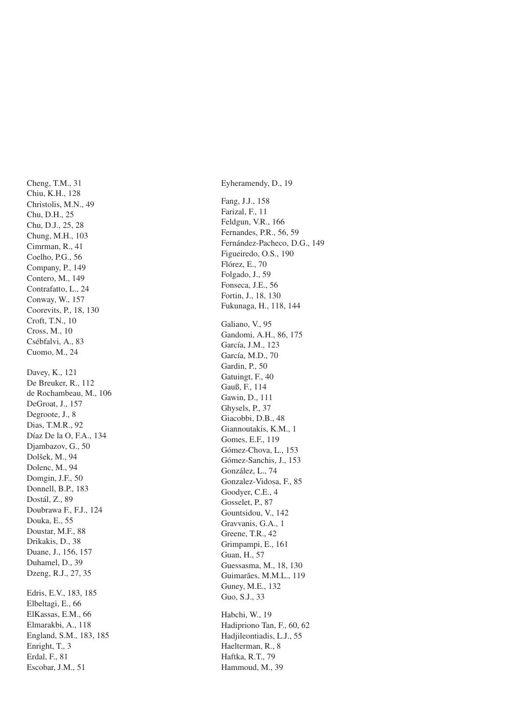Cheng, T.M., 31 Chiu, K.H., 128 Christolis, M.N., 49 Chu, D.H., 25 Chu, D.J., 25, 28 Chung, M.H., 103 Cimrman, R., 41 Coelho, P.G., 56 Company, P., 149 Contero, M., 149 Contrafatto, L., 24 Conway, W., 157 Coorevits, P., 18, 130 Croft, T.N., 10 Cross, M., 10 Csébfalvi, A., 83 Cuomo, M., 24 Davey, K., 121 De Breuker, R., 112 de Rochambeau, M., 106 DeGroat, J., 157 Degroote, J., 8 Dias, T.M.R., 92 Díaz De la O, F.A., 134 Djambazov, G., 50 Dolšek, M., 94 Dolenc, M., 94 Domgin, J.F., 50 Donnell, B.P., 183 Dostál, Z., 89 Doubrawa F., F.J., 124 Douka, E., 55 Doustar, M.F., 88 Drikakis, D., 38 Duane, J., 156, 157 Duhamel, D., 39 Dzeng, R.J., 27, 35 Edris, E.V., 183, 185 Elbeltagi, E., 66 ElKassas, E.M., 66 Elmarakbi, A., 118 England, S.M., 183, 185 Enright, T., 3 Erdal, F., 81 Escobar, J.M., 51

Eyheramendy, D., 19 Fang, J.J., 158 Farizal, F., 11 Feldgun, V.R., 166 Fernandes, P.R., 56, 59 Fernández-Pacheco, D.G., 149 Figueiredo, O.S., 190 Flórez, E., 70 Folgado, J., 59 Fonseca, J.E., 56 Fortin, J., 18, 130 Fukunaga, H., 118, 144 Galiano, V., 95 Gandomi, A.H., 86, 175 García, J.M., 123 García, M.D., 70 Gardin, P., 50 Gatuingt, F., 40 Gauß, F., 114 Gawin, D., 111 Ghysels, P., 37 Giacobbi, D.B., 48 Giannoutakis, K.M., 1 Gomes, E.F., 119 Gómez-Chova, L., 153 Gómez-Sanchis, J., 153 González, L., 74 Gonzalez-Vidosa, F., 85 Goodver, C.E., 4 Gosselet, P., 87 Gountsidou, V., 142 Gravyanis, G.A., 1 Greene, T.R., 42 Grimpampi, E., 161 Guan, H., 57 Guessasma, M., 18, 130 Guimarães, M.M.L., 119 Guney, M.E., 132 Guo, S.J., 33 Habchi, W., 19 Hadipriono Tan, F., 60, 62 Hadjileontiadis, L.J., 55 Haelterman, R., 8 Haftka, R.T., 79 Hammoud, M., 39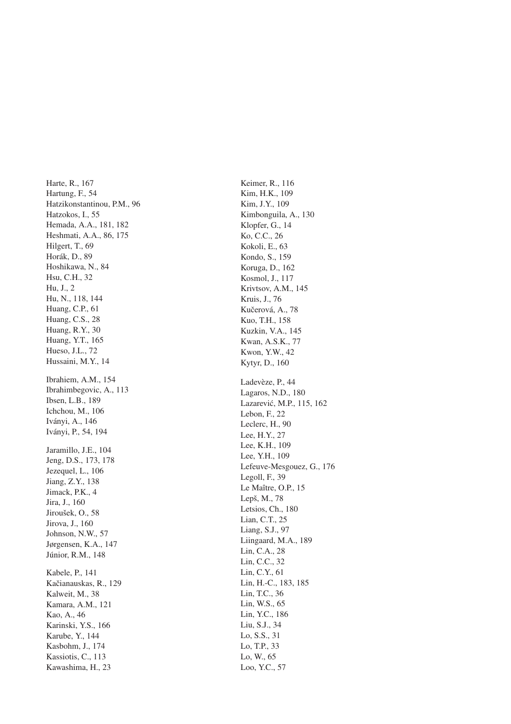Harte, R., 167 Hartung, F., 54 Hatzikonstantinou, P.M., 96 Hatzokos, I., 55 Hemada, A.A., 181, 182 Heshmati, A.A., 86, 175 Hilgert, T., 69 Horák, D., 89 Hoshikawa, N., 84 Hsu, C.H., 32 Hu, J., 2 Hu, N., 118, 144 Huang, C.P., 61 Huang, C.S., 28 Huang, R.Y., 30 Huang, Y.T., 165 Hueso, J.L., 72 Hussaini, M.Y., 14 Ibrahiem, A.M., 154 Ibrahimbegovic, A., 113 Ibsen, L.B., 189 Ichchou, M., 106 Iványi, A., 146 Iványi, P., 54, 194 Jaramillo, J.E., 104 Jeng, D.S., 173, 178 Jezequel, L., 106 Jiang, Z.Y., 138 Jimack, P.K., 4 Jira, J., 160 Jiroušek, O., 58 Jirova, J., 160 Johnson, N.W., 57 Jørgensen, K.A., 147 Júnior, R.M., 148 Kabele, P., 141 Kačianauskas, R., 129 Kalweit, M., 38 Kamara, A.M., 121 Kao, A., 46 Karinski, Y.S., 166 Karube, Y., 144 Kasbohm, J., 174 Kassiotis, C., 113 Kawashima, H., 23

Keimer, R., 116 Kim, H.K., 109 Kim, J.Y., 109 Kimbonguila, A., 130 Klopfer, G., 14 Ko, C.C., 26 Kokoli, E., 63 Kondo, S., 159 Koruga, D., 162 Kosmol, J., 117 Krivtsov, A.M., 145 Kruis, J., 76 Kučerová, A., 78 Kuo, T.H., 158 Kuzkin, V.A., 145 Kwan, A.S.K., 77 Kwon, Y.W., 42 Kytyr, D., 160 Ladevèze, P., 44 Lagaros, N.D., 180 Lazarevic, M.P., 115, 162 ´ Lebon, F., 22 Leclerc, H., 90 Lee, H.Y., 27 Lee, K.H., 109 Lee, Y.H., 109 Lefeuve-Mesgouez, G., 176 Legoll, F., 39 Le Maître, O.P., 15 Lepš, M., 78 Letsios, Ch., 180 Lian, C.T., 25 Liang, S.J., 97 Liingaard, M.A., 189 Lin, C.A., 28 Lin, C.C., 32 Lin, C.Y., 61 Lin, H.-C., 183, 185 Lin, T.C., 36 Lin, W.S., 65 Lin, Y.C., 186 Liu, S.J., 34 Lo, S.S., 31 Lo, T.P., 33 Lo, W., 65 Loo, Y.C., 57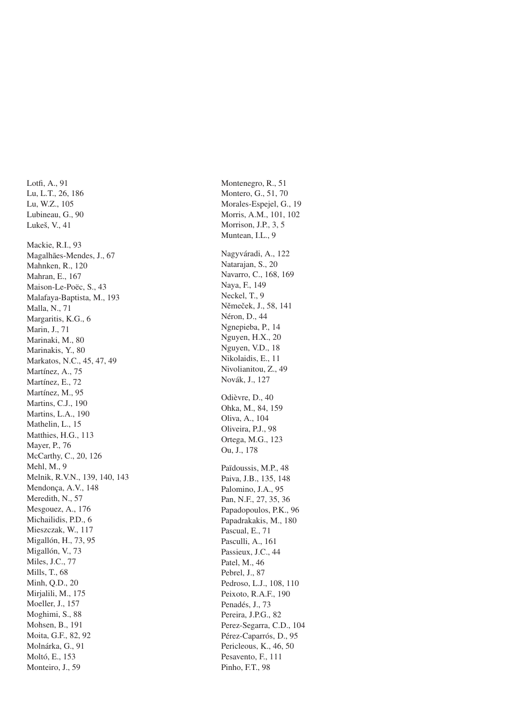Lotfi, A., 91 Lu, L.T., 26, 186 Lu, W.Z., 105 Lubineau, G., 90 Lukeš, V., 41 Mackie, R.I., 93 Magalhães-Mendes, J., 67 Mahnken, R., 120 Mahran, E., 167 Maison-Le-Poëc, S., 43 Malafaya-Baptista, M., 193 Malla, N., 71 Margaritis, K.G., 6 Marin, J., 71 Marinaki, M., 80 Marinakis, Y., 80 Markatos, N.C., 45, 47, 49 Martínez, A., 75 Martínez, E., 72 Martínez, M., 95 Martins, C.J., 190 Martins, L.A., 190 Mathelin, L., 15 Matthies, H.G., 113 Mayer, P., 76 McCarthy, C., 20, 126 Mehl, M., 9 Melnik, R.V.N., 139, 140, 143 Mendonca, A.V., 148 Meredith, N., 57 Mesgouez, A., 176 Michailidis, P.D., 6 Mieszczak, W., 117 Migallón, H., 73, 95 Migallón, V., 73 Miles, J.C., 77 Mills, T., 68 Minh, O.D., 20 Mirjalili, M., 175 Moeller, J., 157 Moghimi, S., 88 Mohsen, B., 191 Moita, G.F., 82, 92 Molnárka, G., 91 Moltó, E., 153 Monteiro, J., 59

Montenegro, R., 51 Montero, G., 51, 70 Morales-Espejel, G., 19 Morris, A.M., 101, 102 Morrison, J.P., 3, 5 Muntean, I.L., 9 Nagyváradi, A., 122 Natarajan, S., 20 Navarro, C., 168, 169 Naya, F., 149 Neckel, T., 9 Němeček, J., 58, 141 Néron, D., 44 Ngnepieba, P., 14 Nguyen, H.X., 20 Nguyen, V.D., 18 Nikolaidis, E., 11 Nivolianitou, Z., 49 Novák, J., 127 Odièvre, D., 40 Ohka, M., 84, 159 Oliva, A., 104 Oliveira, P.J., 98 Ortega, M.G., 123 Ou. J., 178 Païdoussis, M.P., 48 Paiva, J.B., 135, 148 Palomino, J.A., 95 Pan, N.F., 27, 35, 36 Papadopoulos, P.K., 96 Papadrakakis, M., 180 Pascual, E., 71 Pasculli, A., 161 Passieux, J.C., 44 Patel, M., 46 Pebrel, J., 87 Pedroso, L.J., 108, 110 Peixoto, R.A.F., 190 Penadés, J., 73 Pereira, J.P.G., 82 Perez-Segarra, C.D., 104 Pérez-Caparrós, D., 95 Pericleous, K., 46, 50 Pesavento, F., 111 Pinho, F.T., 98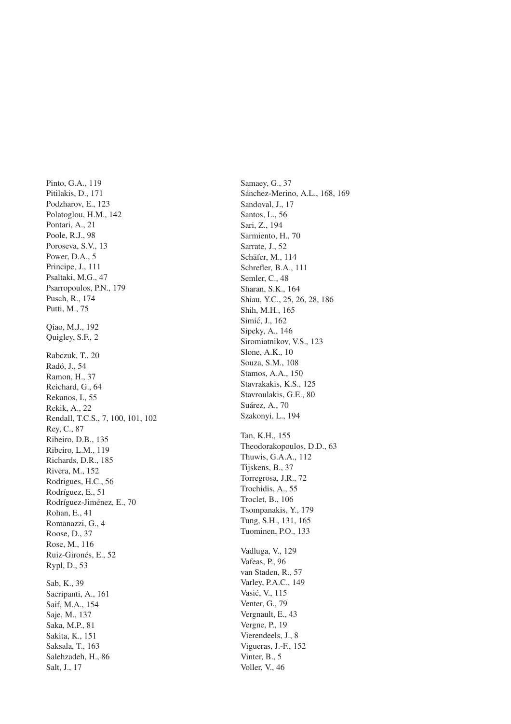Pinto, G.A., 119 Pitilakis, D., 171 Podzharov, E., 123 Polatoglou, H.M., 142 Pontari, A., 21 Poole, R.J., 98 Poroseva, S.V., 13 Power, D.A., 5 Principe, J., 111 Psaltaki, M.G., 47 Psarropoulos, P.N., 179 Pusch, R., 174 Putti, M., 75 Qiao, M.J., 192 Quigley, S.F., 2 Rabczuk, T., 20 Radó, J., 54 Ramon, H., 37 Reichard, G., 64 Rekanos, I., 55 Rekik, A., 22 Rendall, T.C.S., 7, 100, 101, 102 Rey, C., 87 Ribeiro, D.B., 135 Ribeiro, L.M., 119 Richards, D.R., 185 Rivera, M., 152 Rodrigues, H.C., 56 Rodríguez, E., 51 Rodríguez-Jiménez, E., 70 Rohan, E., 41 Romanazzi, G., 4 Roose, D., 37 Rose, M., 116 Ruiz-Gironés, E., 52 Rypl, D., 53 Sab, K., 39 Sacripanti, A., 161 Saif, M.A., 154 Saje, M., 137 Saka, M.P., 81 Sakita, K., 151 Saksala, T., 163 Salehzadeh, H., 86 Salt, J., 17

Samaey, G., 37 Sánchez-Merino, A.L., 168, 169 Sandoval, J., 17 Santos, L., 56 Sari, Z., 194 Sarmiento, H., 70 Sarrate, J., 52 Schäfer, M., 114 Schrefler, B.A., 111 Semler, C., 48 Sharan, S.K., 164 Shiau, Y.C., 25, 26, 28, 186 Shih, M.H., 165 Simić, J., 162 Sipeky, A., 146 Siromiatnikov, V.S., 123 Slone, A.K., 10 Souza, S.M., 108 Stamos, A.A., 150 Stavrakakis, K.S., 125 Stavroulakis, G.E., 80 Suárez, A., 70 Szakonyi, L., 194 Tan, K.H., 155 Theodorakopoulos, D.D., 63 Thuwis, G.A.A., 112 Tijskens, B., 37 Torregrosa, J.R., 72 Trochidis, A., 55 Troclet, B., 106 Tsompanakis, Y., 179 Tung, S.H., 131, 165 Tuominen, P.O., 133 Vadluga, V., 129 Vafeas, P., 96 van Staden, R., 57 Varley, P.A.C., 149 Vasic, V., 115 ´ Venter, G., 79 Vergnault, E., 43 Vergne, P., 19 Vierendeels, J., 8 Vigueras, J.-F., 152 Vinter, B., 5 Voller, V., 46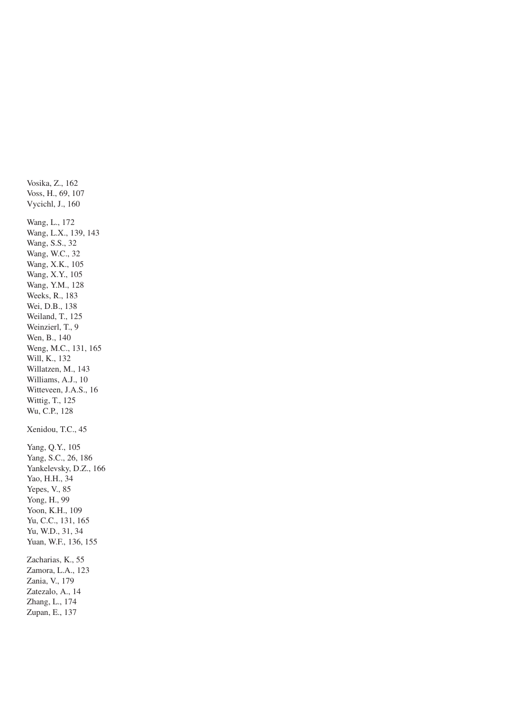Vosika, Z., 162 Voss, H., 69, 107 Vycichl, J., 160 Wang, L., 172 Wang, L.X., 139, 143 Wang, S.S., 32 Wang, W.C., 32 Wang, X.K., 105 Wang, X.Y., 105 Wang, Y.M., 128 Weeks, R., 183 Wei, D.B., 138 Weiland, T., 125 Weinzierl, T., 9 Wen, B., 140 Weng, M.C., 131, 165 Will, K., 132 Willatzen, M., 143 Williams, A.J., 10 Witteveen, J.A.S., 16 Wittig, T., 125 Wu, C.P., 128 Xenidou, T.C., 45 Yang, Q.Y., 105 Yang, S.C., 26, 186 Yankelevsky, D.Z., 166 Yao, H.H., 34 Yepes, V., 85 Yong, H., 99 Yoon, K.H., 109 Yu, C.C., 131, 165 Yu, W.D., 31, 34 Yuan, W.F., 136, 155 Zacharias, K., 55 Zamora, L.A., 123 Zania, V., 179 Zatezalo, A., 14 Zhang, L., 174 Zupan, E., 137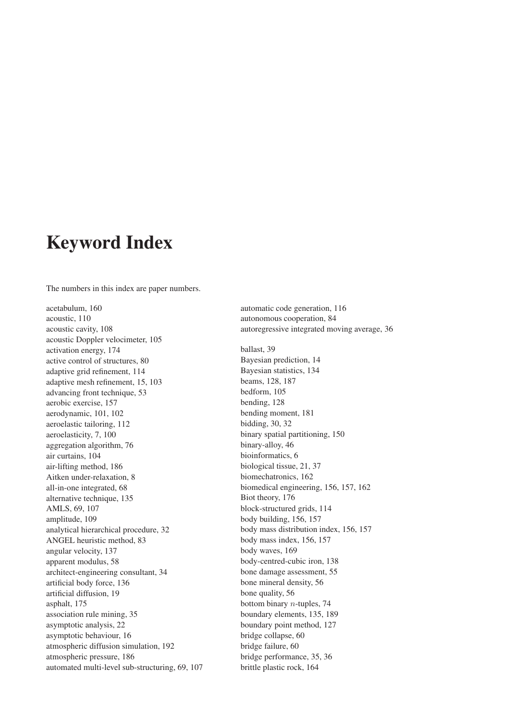## **Keyword Index**

The numbers in this index are paper numbers.

acetabulum, 160 acoustic, 110 acoustic cavity, 108 acoustic Doppler velocimeter, 105 activation energy, 174 active control of structures, 80 adaptive grid refinement, 114 adaptive mesh refinement, 15, 103 advancing front technique, 53 aerobic exercise, 157 aerodynamic, 101, 102 aeroelastic tailoring, 112 aeroelasticity, 7, 100 aggregation algorithm, 76 air curtains, 104 air-lifting method, 186 Aitken under-relaxation, 8 all-in-one integrated, 68 alternative technique, 135 AMLS, 69, 107 amplitude, 109 analytical hierarchical procedure, 32 ANGEL heuristic method, 83 angular velocity, 137 apparent modulus, 58 architect-engineering consultant, 34 artificial body force, 136 artificial diffusion, 19 asphalt, 175 association rule mining, 35 asymptotic analysis, 22 asymptotic behaviour, 16 atmospheric diffusion simulation, 192 atmospheric pressure, 186 automated multi-level sub-structuring, 69, 107

autonomous cooperation, 84 autoregressive integrated moving average, 36 ballast, 39 Bayesian prediction, 14 Bayesian statistics, 134 beams, 128, 187 bedform, 105 bending, 128 bending moment, 181 bidding, 30, 32 binary spatial partitioning, 150 binary-alloy, 46 bioinformatics, 6 biological tissue, 21, 37 biomechatronics, 162 biomedical engineering, 156, 157, 162 Biot theory, 176 block-structured grids, 114 body building, 156, 157 body mass distribution index, 156, 157 body mass index, 156, 157 body waves, 169 body-centred-cubic iron, 138 bone damage assessment, 55 bone mineral density, 56 bone quality, 56 bottom binary n-tuples, 74 boundary elements, 135, 189 boundary point method, 127 bridge collapse, 60 bridge failure, 60 bridge performance, 35, 36 brittle plastic rock, 164

automatic code generation, 116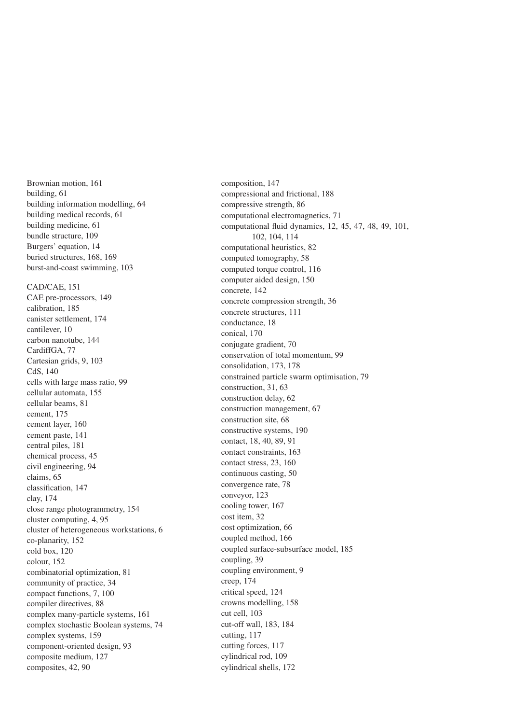Brownian motion, 161 building, 61 building information modelling, 64 building medical records, 61 building medicine, 61 bundle structure, 109 Burgers' equation, 14 buried structures, 168, 169 burst-and-coast swimming, 103

CAD/CAE, 151 CAE pre-processors, 149 calibration, 185 canister settlement, 174 cantilever, 10 carbon nanotube, 144 CardiffGA, 77 Cartesian grids, 9, 103 CdS, 140 cells with large mass ratio, 99 cellular automata, 155 cellular beams, 81 cement, 175 cement layer, 160 cement paste, 141 central piles, 181 chemical process, 45 civil engineering, 94 claims, 65 classification, 147 clay, 174 close range photogrammetry, 154 cluster computing, 4, 95 cluster of heterogeneous workstations, 6 co-planarity, 152 cold box, 120 colour, 152 combinatorial optimization, 81 community of practice, 34 compact functions, 7, 100 compiler directives, 88 complex many-particle systems, 161 complex stochastic Boolean systems, 74 complex systems, 159 component-oriented design, 93 composite medium, 127 composites, 42, 90

composition, 147 compressional and frictional, 188 compressive strength, 86 computational electromagnetics, 71 computational fluid dynamics, 12, 45, 47, 48, 49, 101, 102, 104, 114 computational heuristics, 82 computed tomography, 58 computed torque control, 116 computer aided design, 150 concrete, 142 concrete compression strength, 36 concrete structures, 111 conductance, 18 conical, 170 conjugate gradient, 70 conservation of total momentum, 99 consolidation, 173, 178 constrained particle swarm optimisation, 79 construction, 31, 63 construction delay, 62 construction management, 67 construction site, 68 constructive systems, 190 contact, 18, 40, 89, 91 contact constraints, 163 contact stress, 23, 160 continuous casting, 50 convergence rate, 78 conveyor, 123 cooling tower, 167 cost item, 32 cost optimization, 66 coupled method, 166 coupled surface-subsurface model, 185 coupling, 39 coupling environment, 9 creep, 174 critical speed, 124 crowns modelling, 158 cut cell, 103 cut-off wall, 183, 184 cutting, 117 cutting forces, 117 cylindrical rod, 109 cylindrical shells, 172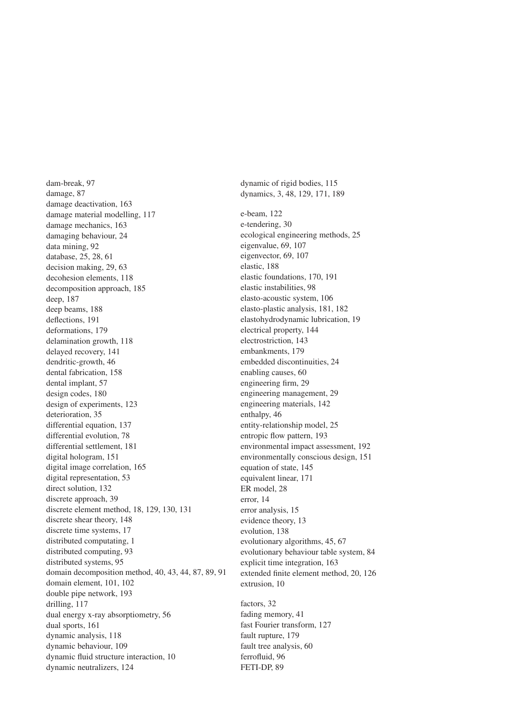dam-break, 97 damage, 87 damage deactivation, 163 damage material modelling, 117 damage mechanics, 163 damaging behaviour, 24 data mining, 92 database, 25, 28, 61 decision making, 29, 63 decohesion elements, 118 decomposition approach, 185 deep, 187 deep beams, 188 deflections, 191 deformations, 179 delamination growth, 118 delayed recovery, 141 dendritic-growth, 46 dental fabrication, 158 dental implant, 57 design codes, 180 design of experiments, 123 deterioration, 35 differential equation, 137 differential evolution, 78 differential settlement, 181 digital hologram, 151 digital image correlation, 165 digital representation, 53 direct solution, 132 discrete approach, 39 discrete element method, 18, 129, 130, 131 discrete shear theory, 148 discrete time systems, 17 distributed computating, 1 distributed computing, 93 distributed systems, 95 domain decomposition method, 40, 43, 44, 87, 89, 91 domain element, 101, 102 double pipe network, 193 drilling, 117 dual energy x-ray absorptiometry, 56 dual sports, 161 dynamic analysis, 118 dynamic behaviour, 109 dynamic fluid structure interaction, 10 dynamic neutralizers, 124

dynamic of rigid bodies, 115 dynamics, 3, 48, 129, 171, 189 e-beam, 122 e-tendering, 30 ecological engineering methods, 25 eigenvalue, 69, 107 eigenvector, 69, 107 elastic, 188 elastic foundations, 170, 191 elastic instabilities, 98 elasto-acoustic system, 106 elasto-plastic analysis, 181, 182 elastohydrodynamic lubrication, 19 electrical property, 144 electrostriction, 143 embankments, 179 embedded discontinuities, 24 enabling causes, 60 engineering firm, 29 engineering management, 29 engineering materials, 142 enthalpy, 46 entity-relationship model, 25 entropic flow pattern, 193 environmental impact assessment, 192 environmentally conscious design, 151 equation of state, 145 equivalent linear, 171 ER model, 28 error, 14 error analysis, 15 evidence theory, 13 evolution, 138 evolutionary algorithms, 45, 67 evolutionary behaviour table system, 84 explicit time integration, 163 extended finite element method, 20, 126 extrusion, 10 factors, 32 fading memory, 41 fast Fourier transform, 127

fault rupture, 179 fault tree analysis, 60 ferrofluid, 96 FETI-DP, 89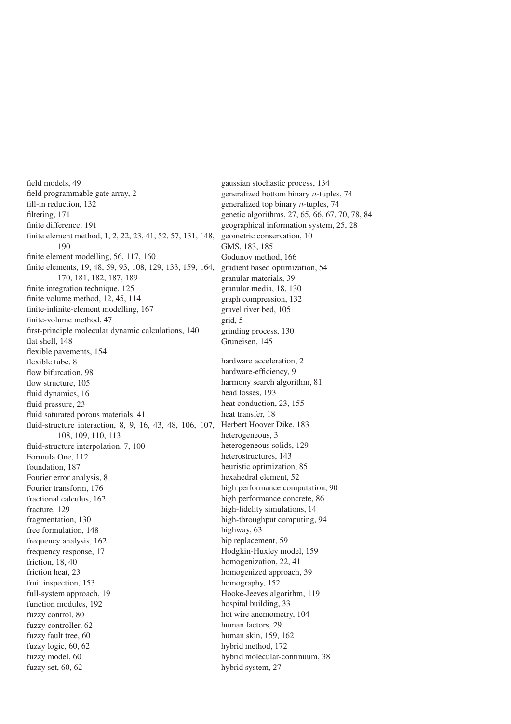field models, 49 field programmable gate array, 2 fill-in reduction, 132 filtering, 171 finite difference, 191 finite element method, 1, 2, 22, 23, 41, 52, 57, 131, 148, 190 finite element modelling, 56, 117, 160 finite elements, 19, 48, 59, 93, 108, 129, 133, 159, 164, 170, 181, 182, 187, 189 finite integration technique, 125 finite volume method, 12, 45, 114 finite-infinite-element modelling, 167 finite-volume method, 47 first-principle molecular dynamic calculations, 140 flat shell, 148 flexible pavements, 154 flexible tube, 8 flow bifurcation, 98 flow structure, 105 fluid dynamics, 16 fluid pressure, 23 fluid saturated porous materials, 41 fluid-structure interaction, 8, 9, 16, 43, 48, 106, 107, Herbert Hoover Dike, 183 108, 109, 110, 113 fluid-structure interpolation, 7, 100 Formula One, 112 foundation, 187 Fourier error analysis, 8 Fourier transform, 176 fractional calculus, 162 fracture, 129 fragmentation, 130 free formulation, 148 frequency analysis, 162 frequency response, 17 friction, 18, 40 friction heat, 23 fruit inspection, 153 full-system approach, 19 function modules, 192 fuzzy control, 80 fuzzy controller, 62 fuzzy fault tree, 60 fuzzy logic, 60, 62 fuzzy model, 60 fuzzy set, 60, 62

gaussian stochastic process, 134 generalized bottom binary n-tuples, 74 generalized top binary n-tuples, 74 genetic algorithms, 27, 65, 66, 67, 70, 78, 84 geographical information system, 25, 28 geometric conservation, 10 GMS, 183, 185 Godunov method, 166 gradient based optimization, 54 granular materials, 39 granular media, 18, 130 graph compression, 132 gravel river bed, 105 grid, 5 grinding process, 130 Gruneisen, 145 hardware acceleration, 2 hardware-efficiency, 9 harmony search algorithm, 81 head losses, 193 heat conduction, 23, 155 heat transfer, 18 heterogeneous, 3 heterogeneous solids, 129 heterostructures, 143 heuristic optimization, 85 hexahedral element, 52 high performance computation, 90 high performance concrete, 86 high-fidelity simulations, 14 high-throughput computing, 94 highway, 63 hip replacement, 59 Hodgkin-Huxley model, 159 homogenization, 22, 41 homogenized approach, 39 homography, 152 Hooke-Jeeves algorithm, 119 hospital building, 33 hot wire anemometry, 104 human factors, 29 human skin, 159, 162 hybrid method, 172 hybrid molecular-continuum, 38 hybrid system, 27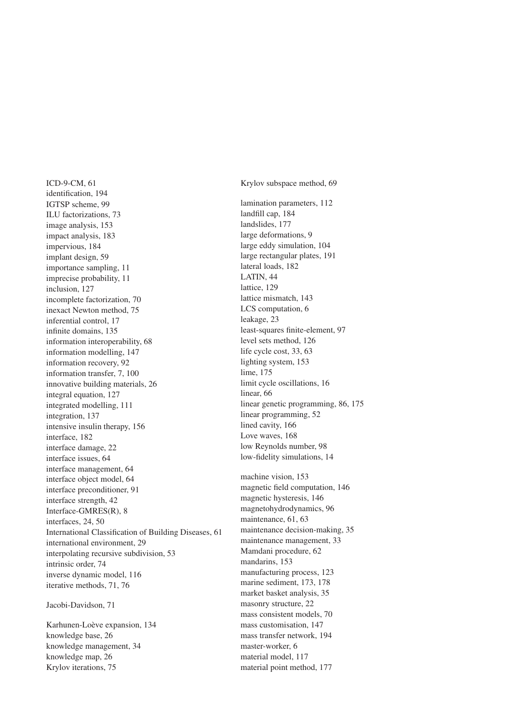ICD-9-CM, 61 identification, 194 IGTSP scheme, 99 ILU factorizations, 73 image analysis, 153 impact analysis, 183 impervious, 184 implant design, 59 importance sampling, 11 imprecise probability, 11 inclusion, 127 incomplete factorization, 70 inexact Newton method, 75 inferential control, 17 infinite domains, 135 information interoperability, 68 information modelling, 147 information recovery, 92 information transfer, 7, 100 innovative building materials, 26 integral equation, 127 integrated modelling, 111 integration, 137 intensive insulin therapy, 156 interface, 182 interface damage, 22 interface issues, 64 interface management, 64 interface object model, 64 interface preconditioner, 91 interface strength, 42 Interface-GMRES(R), 8 interfaces, 24, 50 International Classification of Building Diseases, 61 international environment, 29 interpolating recursive subdivision, 53 intrinsic order, 74 inverse dynamic model, 116 iterative methods, 71, 76

Jacobi-Davidson, 71

Karhunen-Loève expansion, 134 knowledge base, 26 knowledge management, 34 knowledge map, 26 Krylov iterations, 75

Krylov subspace method, 69 lamination parameters, 112 landfill cap, 184 landslides, 177 large deformations, 9 large eddy simulation, 104 large rectangular plates, 191 lateral loads, 182 LATIN, 44 lattice, 129 lattice mismatch, 143 LCS computation, 6 leakage, 23 least-squares finite-element, 97 level sets method, 126 life cycle cost, 33, 63 lighting system, 153 lime, 175 limit cycle oscillations, 16 linear, 66 linear genetic programming, 86, 175 linear programming, 52 lined cavity, 166 Love waves, 168 low Reynolds number, 98 low-fidelity simulations, 14

machine vision, 153 magnetic field computation, 146 magnetic hysteresis, 146 magnetohydrodynamics, 96 maintenance, 61, 63 maintenance decision-making, 35 maintenance management, 33 Mamdani procedure, 62 mandarins, 153 manufacturing process, 123 marine sediment, 173, 178 market basket analysis, 35 masonry structure, 22 mass consistent models, 70 mass customisation, 147 mass transfer network, 194 master-worker, 6 material model, 117 material point method, 177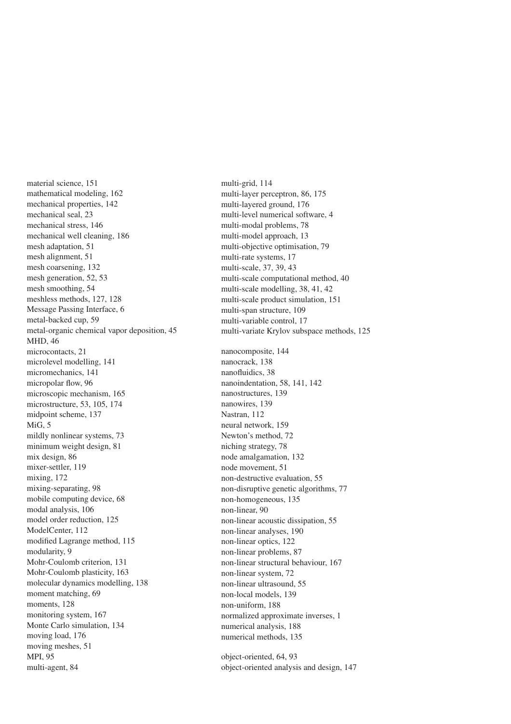material science, 151 mathematical modeling, 162 mechanical properties, 142 mechanical seal, 23 mechanical stress, 146 mechanical well cleaning, 186 mesh adaptation, 51 mesh alignment, 51 mesh coarsening, 132 mesh generation, 52, 53 mesh smoothing, 54 meshless methods, 127, 128 Message Passing Interface, 6 metal-backed cup, 59 metal-organic chemical vapor deposition, 45 MHD, 46 microcontacts, 21 microlevel modelling, 141 micromechanics, 141 micropolar flow, 96 microscopic mechanism, 165 microstructure, 53, 105, 174 midpoint scheme, 137 MiG, 5 mildly nonlinear systems, 73 minimum weight design, 81 mix design, 86 mixer-settler, 119 mixing, 172 mixing-separating, 98 mobile computing device, 68 modal analysis, 106 model order reduction, 125 ModelCenter, 112 modified Lagrange method, 115 modularity, 9 Mohr-Coulomb criterion, 131 Mohr-Coulomb plasticity, 163 molecular dynamics modelling, 138 moment matching, 69 moments, 128 monitoring system, 167 Monte Carlo simulation, 134 moving load, 176 moving meshes, 51 MPI, 95 multi-agent, 84

multi-grid, 114 multi-layer perceptron, 86, 175 multi-layered ground, 176 multi-level numerical software, 4 multi-modal problems, 78 multi-model approach, 13 multi-objective optimisation, 79 multi-rate systems, 17 multi-scale, 37, 39, 43 multi-scale computational method, 40 multi-scale modelling, 38, 41, 42 multi-scale product simulation, 151 multi-span structure, 109 multi-variable control, 17 multi-variate Krylov subspace methods, 125 nanocomposite, 144 nanocrack, 138 nanofluidics, 38 nanoindentation, 58, 141, 142 nanostructures, 139 nanowires, 139 Nastran, 112 neural network, 159 Newton's method, 72 niching strategy, 78 node amalgamation, 132 node movement, 51 non-destructive evaluation, 55 non-disruptive genetic algorithms, 77 non-homogeneous, 135 non-linear, 90 non-linear acoustic dissipation, 55 non-linear analyses, 190 non-linear optics, 122 non-linear problems, 87 non-linear structural behaviour, 167 non-linear system, 72 non-linear ultrasound, 55 non-local models, 139 non-uniform, 188 normalized approximate inverses, 1 numerical analysis, 188 numerical methods, 135

object-oriented, 64, 93 object-oriented analysis and design, 147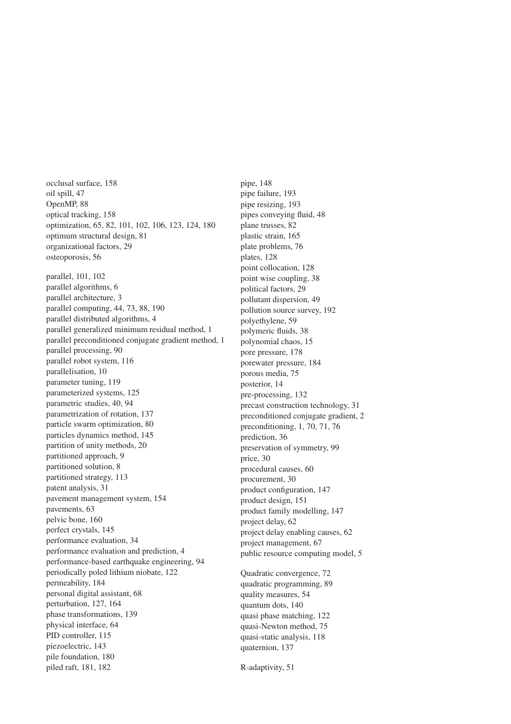occlusal surface, 158 oil spill, 47 OpenMP, 88 optical tracking, 158 optimization, 65, 82, 101, 102, 106, 123, 124, 180 optimum structural design, 81 organizational factors, 29 osteoporosis, 56 parallel, 101, 102 parallel algorithms, 6 parallel architecture, 3 parallel computing, 44, 73, 88, 190 parallel distributed algorithms, 4 parallel generalized minimum residual method, 1 parallel preconditioned conjugate gradient method, 1 parallel processing, 90 parallel robot system, 116 parallelisation, 10 parameter tuning, 119 parameterized systems, 125 parametric studies, 40, 94 parametrization of rotation, 137 particle swarm optimization, 80 particles dynamics method, 145 partition of unity methods, 20 partitioned approach, 9 partitioned solution, 8 partitioned strategy, 113 patent analysis, 31 pavement management system, 154 pavements, 63 pelvic bone, 160 perfect crystals, 145 performance evaluation, 34 performance evaluation and prediction, 4 performance-based earthquake engineering, 94 periodically poled lithium niobate, 122 permeability, 184 personal digital assistant, 68 perturbation, 127, 164 phase transformations, 139 physical interface, 64 PID controller, 115 piezoelectric, 143 pile foundation, 180 piled raft, 181, 182

pipe, 148 pipe failure, 193 pipe resizing, 193 pipes conveying fluid, 48 plane trusses, 82 plastic strain, 165 plate problems, 76 plates, 128 point collocation, 128 point wise coupling, 38 political factors, 29 pollutant dispersion, 49 pollution source survey, 192 polyethylene, 59 polymeric fluids, 38 polynomial chaos, 15 pore pressure, 178 porewater pressure, 184 porous media, 75 posterior, 14 pre-processing, 132 precast construction technology, 31 preconditioned conjugate gradient, 2 preconditioning, 1, 70, 71, 76 prediction, 36 preservation of symmetry, 99 price, 30 procedural causes, 60 procurement, 30 product configuration, 147 product design, 151 product family modelling, 147 project delay, 62 project delay enabling causes, 62 project management, 67 public resource computing model, 5 Quadratic convergence, 72 quadratic programming, 89 quality measures, 54

quantum dots, 140 quasi phase matching, 122 quasi-Newton method, 75 quasi-static analysis, 118 quaternion, 137

R-adaptivity, 51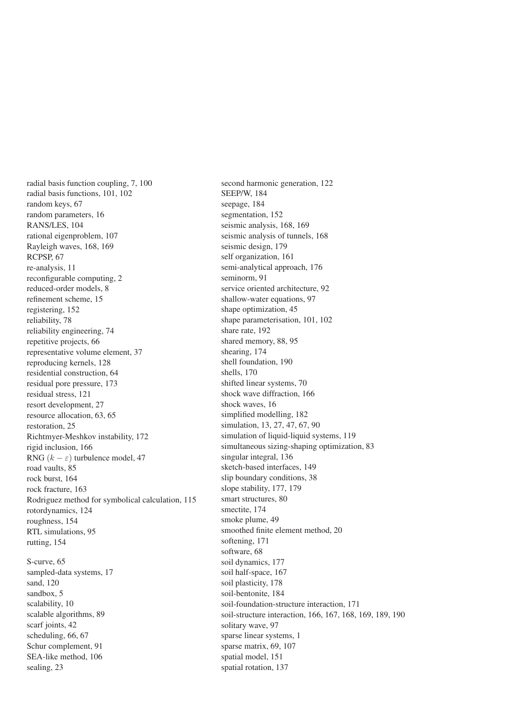radial basis function coupling, 7, 100 radial basis functions, 101, 102 random keys, 67 random parameters, 16 RANS/LES, 104 rational eigenproblem, 107 Rayleigh waves, 168, 169 RCPSP, 67 re-analysis, 11 reconfigurable computing, 2 reduced-order models, 8 refinement scheme, 15 registering, 152 reliability, 78 reliability engineering, 74 repetitive projects, 66 representative volume element, 37 reproducing kernels, 128 residential construction, 64 residual pore pressure, 173 residual stress, 121 resort development, 27 resource allocation, 63, 65 restoration, 25 Richtmyer-Meshkov instability, 172 rigid inclusion, 166 RNG  $(k - \varepsilon)$  turbulence model, 47 road vaults, 85 rock burst, 164 rock fracture, 163 Rodriguez method for symbolical calculation, 115 rotordynamics, 124 roughness, 154 RTL simulations, 95 rutting, 154 S-curve, 65 sampled-data systems, 17 sand, 120 sandbox, 5 scalability, 10 scalable algorithms, 89 scarf joints, 42

scheduling, 66, 67 Schur complement, 91 SEA-like method, 106 sealing, 23

second harmonic generation, 122 SEEP/W, 184 seepage, 184 segmentation, 152 seismic analysis, 168, 169 seismic analysis of tunnels, 168 seismic design, 179 self organization, 161 semi-analytical approach, 176 seminorm, 91 service oriented architecture, 92 shallow-water equations, 97 shape optimization, 45 shape parameterisation, 101, 102 share rate, 192 shared memory, 88, 95 shearing, 174 shell foundation, 190 shells, 170 shifted linear systems, 70 shock wave diffraction, 166 shock waves, 16 simplified modelling, 182 simulation, 13, 27, 47, 67, 90 simulation of liquid-liquid systems, 119 simultaneous sizing-shaping optimization, 83 singular integral, 136 sketch-based interfaces, 149 slip boundary conditions, 38 slope stability, 177, 179 smart structures, 80 smectite, 174 smoke plume, 49 smoothed finite element method, 20 softening, 171 software, 68 soil dynamics, 177 soil half-space, 167 soil plasticity, 178 soil-bentonite, 184 soil-foundation-structure interaction, 171 soil-structure interaction, 166, 167, 168, 169, 189, 190 solitary wave, 97 sparse linear systems, 1 sparse matrix, 69, 107 spatial model, 151 spatial rotation, 137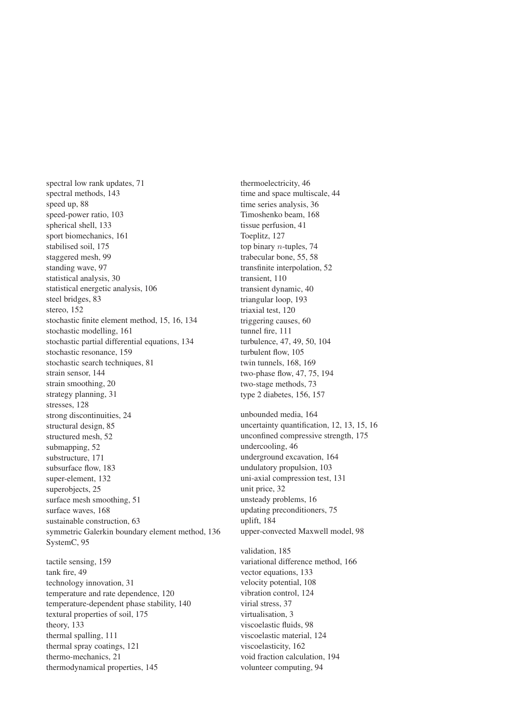spectral low rank updates, 71 spectral methods, 143 speed up, 88 speed-power ratio, 103 spherical shell, 133 sport biomechanics, 161 stabilised soil, 175 staggered mesh, 99 standing wave, 97 statistical analysis, 30 statistical energetic analysis, 106 steel bridges, 83 stereo, 152 stochastic finite element method, 15, 16, 134 stochastic modelling, 161 stochastic partial differential equations, 134 stochastic resonance, 159 stochastic search techniques, 81 strain sensor, 144 strain smoothing, 20 strategy planning, 31 stresses, 128 strong discontinuities, 24 structural design, 85 structured mesh, 52 submapping, 52 substructure, 171 subsurface flow, 183 super-element, 132 superobjects, 25 surface mesh smoothing, 51 surface waves, 168 sustainable construction, 63 symmetric Galerkin boundary element method, 136 SystemC, 95 tactile sensing, 159 tank fire, 49 technology innovation, 31 temperature and rate dependence, 120 temperature-dependent phase stability, 140 textural properties of soil, 175 theory, 133 thermal spalling, 111 thermal spray coatings, 121 thermo-mechanics, 21 thermodynamical properties, 145

thermoelectricity, 46 time and space multiscale, 44 time series analysis, 36 Timoshenko beam, 168 tissue perfusion, 41 Toeplitz, 127 top binary n-tuples, 74 trabecular bone, 55, 58 transfinite interpolation, 52 transient, 110 transient dynamic, 40 triangular loop, 193 triaxial test, 120 triggering causes, 60 tunnel fire, 111 turbulence, 47, 49, 50, 104 turbulent flow, 105 twin tunnels, 168, 169 two-phase flow, 47, 75, 194 two-stage methods, 73 type 2 diabetes, 156, 157 unbounded media, 164 uncertainty quantification, 12, 13, 15, 16 unconfined compressive strength, 175 undercooling, 46 underground excavation, 164 undulatory propulsion, 103 uni-axial compression test, 131 unit price, 32 unsteady problems, 16 updating preconditioners, 75 uplift, 184 upper-convected Maxwell model, 98 validation, 185 variational difference method, 166 vector equations, 133 velocity potential, 108 vibration control, 124 virial stress, 37 virtualisation, 3 viscoelastic fluids, 98 viscoelastic material, 124 viscoelasticity, 162 void fraction calculation, 194

volunteer computing, 94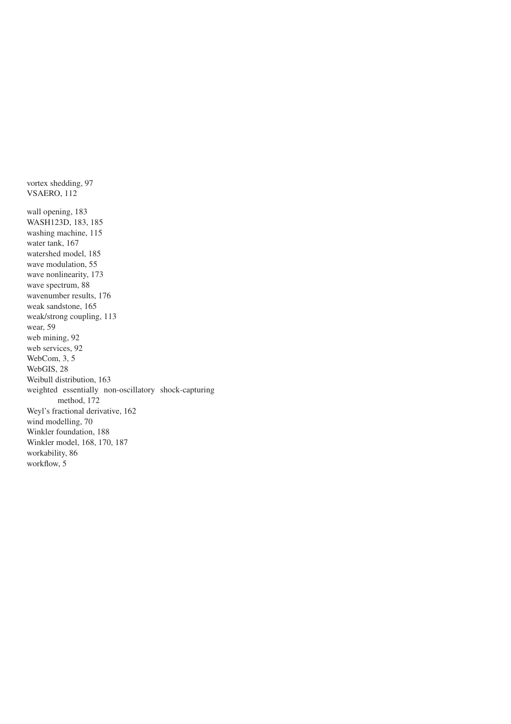vortex shedding, 97 VSAERO, 112 wall opening, 183 WASH123D, 183, 185 washing machine, 115 water tank, 167 watershed model, 185 wave modulation, 55 wave nonlinearity, 173 wave spectrum, 88 wavenumber results, 176 weak sandstone, 165 weak/strong coupling, 113 wear, 59 web mining, 92 web services, 92 WebCom, 3, 5 WebGIS, 28 Weibull distribution, 163 weighted essentially non-oscillatory shock-capturing method, 172 Weyl's fractional derivative, 162 wind modelling, 70 Winkler foundation, 188 Winkler model, 168, 170, 187 workability, 86 workflow, 5